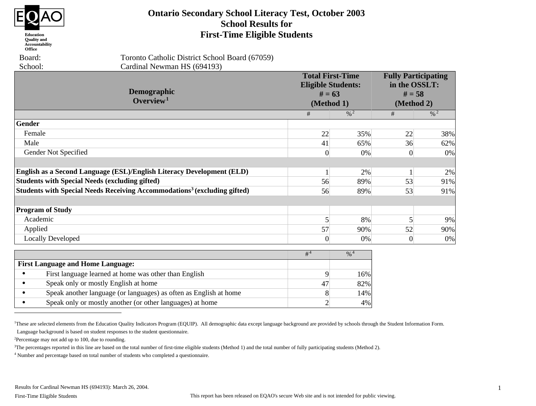

#### Education **Quality** and Accountability Office

 Board: School:  Toronto Catholic District School Board (67059) Cardinal Newman HS (694193)

| <b>Demographic</b><br>Overview <sup>1</sup>                                          |                | <b>Total First-Time</b><br><b>Eligible Students:</b><br>$# = 63$<br>(Method 1) | <b>Fully Participating</b><br>in the OSSLT:<br>$# = 58$<br>(Method 2) |                            |
|--------------------------------------------------------------------------------------|----------------|--------------------------------------------------------------------------------|-----------------------------------------------------------------------|----------------------------|
|                                                                                      | #              | $\frac{9}{6}$ 2                                                                | #                                                                     | $\frac{0}{6}$ <sup>2</sup> |
| Gender                                                                               |                |                                                                                |                                                                       |                            |
| Female                                                                               | 22             | 35%                                                                            | 22                                                                    | 38%                        |
| Male                                                                                 | 41             | 65%                                                                            | 36                                                                    | 62%                        |
| Gender Not Specified                                                                 | 0              | 0%                                                                             | $\Omega$                                                              | 0%                         |
| English as a Second Language (ESL)/English Literacy Development (ELD)                |                | 2%                                                                             |                                                                       | 2%                         |
| <b>Students with Special Needs (excluding gifted)</b>                                | 56             | 89%                                                                            | 53                                                                    | 91%                        |
| Students with Special Needs Receiving Accommodations <sup>3</sup> (excluding gifted) | 56             | 89%                                                                            | 53                                                                    | 91%                        |
| <b>Program of Study</b>                                                              |                |                                                                                |                                                                       |                            |
| Academic                                                                             | 5              | 8%                                                                             | 5                                                                     | 9%                         |
| Applied                                                                              | 57             | 90%                                                                            | 52                                                                    | 90%                        |
| <b>Locally Developed</b>                                                             | $\Omega$       | $0\%$                                                                          | $\theta$                                                              | 0%                         |
|                                                                                      | # <sup>4</sup> | $% ^{4}$                                                                       |                                                                       |                            |
| <b>First Language and Home Language:</b>                                             |                |                                                                                |                                                                       |                            |
| First language learned at home was other than English<br>$\bullet$                   | 9              | 16%                                                                            |                                                                       |                            |
| Speak only or mostly English at home<br>$\bullet$                                    | 47             | 82%                                                                            |                                                                       |                            |

**Ontario Secondary School Literacy Test, October 2003 School Results for First-Time Eligible Students**

**•** Speak another language (or languages) as often as English at home • Speak only or mostly another (or other languages) at home 8 2 4%

<sup>1</sup>These are selected elements from the Education Quality Indicators Program (EQUIP). All demographic data except language background are provided by schools through the Student Information Form. Language background is based on student responses to the student questionnaire.

<sup>2</sup>Percentage may not add up to 100, due to rounding.

<sup>3</sup>The percentages reported in this line are based on the total number of first-time eligible students (Method 1) and the total number of fully participating students (Method 2).

<sup>4</sup> Number and percentage based on total number of students who completed a questionnaire.

14%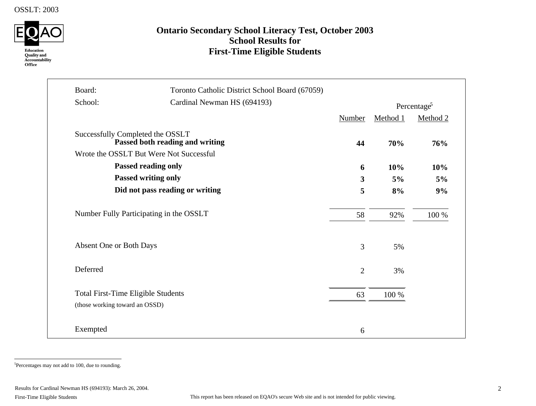

# **Ontario Secondary School Literacy Test, October 2003 School Results for First-Time Eligible Students**

| Board:                                    | Toronto Catholic District School Board (67059)                             |                         |          |                         |
|-------------------------------------------|----------------------------------------------------------------------------|-------------------------|----------|-------------------------|
| School:                                   | Cardinal Newman HS (694193)                                                |                         |          | Percentage <sup>5</sup> |
|                                           |                                                                            | Number                  | Method 1 | Method 2                |
| Successfully Completed the OSSLT          | Passed both reading and writing<br>Wrote the OSSLT But Were Not Successful | 44                      | 70%      | 76%                     |
|                                           | <b>Passed reading only</b>                                                 | 6                       | 10%      | 10%                     |
|                                           | <b>Passed writing only</b>                                                 | $\overline{\mathbf{3}}$ | 5%       | 5%                      |
|                                           | Did not pass reading or writing                                            | 5                       | 8%       | 9%                      |
| Number Fully Participating in the OSSLT   |                                                                            | 58                      | 92%      | 100 %                   |
| Absent One or Both Days                   |                                                                            | 3                       | 5%       |                         |
| Deferred                                  |                                                                            | $\overline{2}$          | 3%       |                         |
| <b>Total First-Time Eligible Students</b> |                                                                            | 63                      | 100 %    |                         |
| (those working toward an OSSD)            |                                                                            |                         |          |                         |
| Exempted                                  |                                                                            | 6                       |          |                         |

5 Percentages may not add to 100, due to rounding.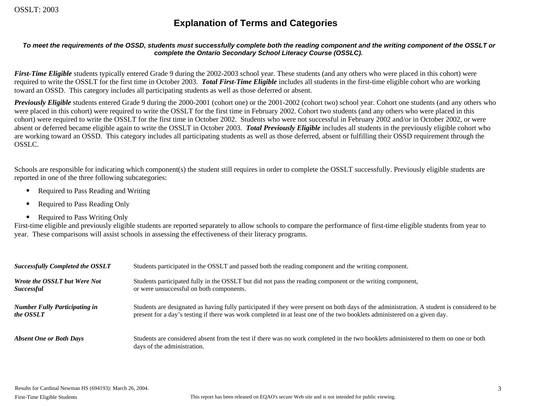# **Explanation of Terms and Categories**

#### *To meet the requirements of the OSSD, students must successfully complete both the reading component and the writing component of the OSSLT or complete the Ontario Secondary School Literacy Course (OSSLC).*

*First-Time Eligible* students typically entered Grade 9 during the 2002-2003 school year. These students (and any others who were placed in this cohort) were required to write the OSSLT for the first time in October 2003. *Total First-Time Eligible* includes all students in the first-time eligible cohort who are working toward an OSSD. This category includes all participating students as well as those deferred or absent.

*Previously Eligible* students entered Grade 9 during the 2000-2001 (cohort one) or the 2001-2002 (cohort two) school year. Cohort one students (and any others who were placed in this cohort) were required to write the OSSLT for the first time in February 2002. Cohort two students (and any others who were placed in this cohort) were required to write the OSSLT for the first time in October 2002. Students who were not successful in February 2002 and/or in October 2002, or were absent or deferred became eligible again to write the OSSLT in October 2003. *Total Previously Eligible* includes all students in the previously eligible cohort who are working toward an OSSD. This category includes all participating students as well as those deferred, absent or fulfilling their OSSD requirement through the OSSLC.

Schools are responsible for indicating which component(s) the student still requires in order to complete the OSSLT successfully. Previously eligible students are reported in one of the three following subcategories:

- Required to Pass Reading and Writing
- Required to Pass Reading Only
- Required to Pass Writing Only

First-time eligible and previously eligible students are reported separately to allow schools to compare the performance of first-time eligible students from year to year. These comparisons will assist schools in assessing the effectiveness of their literacy programs.

| <b>Successfully Completed the OSSLT</b> | Students participated in the OSSLT and passed both the reading component and the writing component.                                                                |
|-----------------------------------------|--------------------------------------------------------------------------------------------------------------------------------------------------------------------|
| <b>Wrote the OSSLT but Were Not</b>     | Students participated fully in the OSSLT but did not pass the reading component or the writing component,                                                          |
| <i>Successful</i>                       | or were unsuccessful on both components.                                                                                                                           |
| <b>Number Fully Participating in</b>    | Students are designated as having fully participated if they were present on both days of the administration. A student is considered to be                        |
| the OSSLT                               | present for a day's testing if there was work completed in at least one of the two booklets administered on a given day.                                           |
| <b>Absent One or Both Days</b>          | Students are considered absent from the test if there was no work completed in the two booklets administered to them on one or both<br>days of the administration. |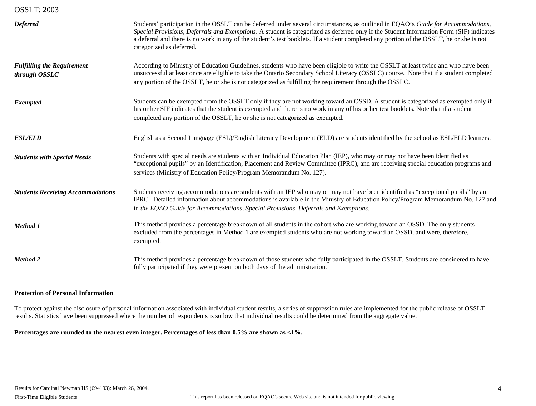| <b>Deferred</b>                                    | Students' participation in the OSSLT can be deferred under several circumstances, as outlined in EQAO's Guide for Accommodations,<br>Special Provisions, Deferrals and Exemptions. A student is categorized as deferred only if the Student Information Form (SIF) indicates<br>a deferral and there is no work in any of the student's test booklets. If a student completed any portion of the OSSLT, he or she is not<br>categorized as deferred. |
|----------------------------------------------------|------------------------------------------------------------------------------------------------------------------------------------------------------------------------------------------------------------------------------------------------------------------------------------------------------------------------------------------------------------------------------------------------------------------------------------------------------|
| <b>Fulfilling the Requirement</b><br>through OSSLC | According to Ministry of Education Guidelines, students who have been eligible to write the OSSLT at least twice and who have been<br>unsuccessful at least once are eligible to take the Ontario Secondary School Literacy (OSSLC) course. Note that if a student completed<br>any portion of the OSSLT, he or she is not categorized as fulfilling the requirement through the OSSLC.                                                              |
| <b>Exempted</b>                                    | Students can be exempted from the OSSLT only if they are not working toward an OSSD. A student is categorized as exempted only if<br>his or her SIF indicates that the student is exempted and there is no work in any of his or her test booklets. Note that if a student<br>completed any portion of the OSSLT, he or she is not categorized as exempted.                                                                                          |
| <b>ESL/ELD</b>                                     | English as a Second Language (ESL)/English Literacy Development (ELD) are students identified by the school as ESL/ELD learners.                                                                                                                                                                                                                                                                                                                     |
| <b>Students with Special Needs</b>                 | Students with special needs are students with an Individual Education Plan (IEP), who may or may not have been identified as<br>"exceptional pupils" by an Identification, Placement and Review Committee (IPRC), and are receiving special education programs and<br>services (Ministry of Education Policy/Program Memorandum No. 127).                                                                                                            |
| <b>Students Receiving Accommodations</b>           | Students receiving accommodations are students with an IEP who may or may not have been identified as "exceptional pupils" by an<br>IPRC. Detailed information about accommodations is available in the Ministry of Education Policy/Program Memorandum No. 127 and<br>in the EQAO Guide for Accommodations, Special Provisions, Deferrals and Exemptions.                                                                                           |
| Method 1                                           | This method provides a percentage breakdown of all students in the cohort who are working toward an OSSD. The only students<br>excluded from the percentages in Method 1 are exempted students who are not working toward an OSSD, and were, therefore,<br>exempted.                                                                                                                                                                                 |
| <b>Method 2</b>                                    | This method provides a percentage breakdown of those students who fully participated in the OSSLT. Students are considered to have<br>fully participated if they were present on both days of the administration.                                                                                                                                                                                                                                    |

#### **Protection of Personal Information**

To protect against the disclosure of personal information associated with individual student results, a series of suppression rules are implemented for the public release of OSSLT results. Statistics have been suppressed where the number of respondents is so low that individual results could be determined from the aggregate value.

**Percentages are rounded to the nearest even integer. Percentages of less than 0.5% are shown as <1%.**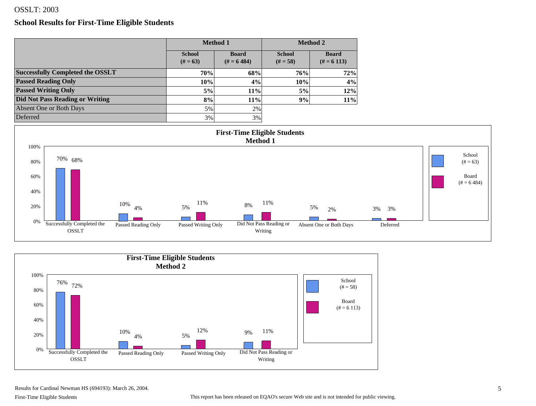#### **School Results for First-Time Eligible Students**

|                                         |                           | <b>Method 1</b>            |                             | <b>Method 2</b>            |
|-----------------------------------------|---------------------------|----------------------------|-----------------------------|----------------------------|
|                                         | <b>School</b><br>$# = 63$ | <b>Board</b><br>$# = 6484$ | <b>School</b><br>$(# = 58)$ | <b>Board</b><br>$# = 6113$ |
| <b>Successfully Completed the OSSLT</b> | 70%                       | 68%                        | 76%                         | 72%                        |
| <b>Passed Reading Only</b>              | 10%                       | 4%                         | 10%                         | 4%                         |
| <b>Passed Writing Only</b>              | 5%                        | 11%                        | 5%                          | 12%                        |
| <b>Did Not Pass Reading or Writing</b>  | 8%                        | 11%                        | 9%                          | $11\%$                     |
| Absent One or Both Days                 | 5%                        | 2%                         |                             |                            |
| Deferred                                | 3%                        | 3%                         |                             |                            |





Results for Cardinal Newman HS (694193): March 26, 2004.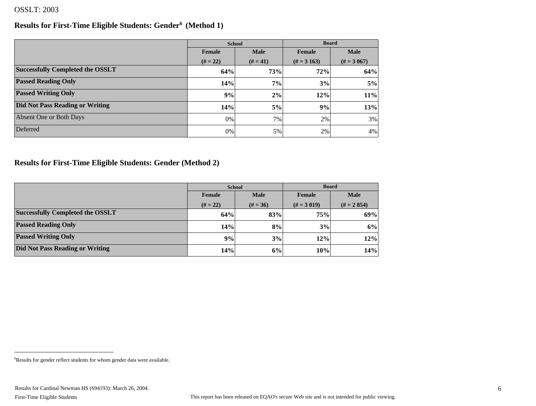#### **Results for First-Time Eligible Students: Gender6 (Method 1)**

|                                         |                       | <b>School</b> | <b>Board</b>    |               |  |
|-----------------------------------------|-----------------------|---------------|-----------------|---------------|--|
|                                         | <b>Male</b><br>Female |               | Female          | <b>Male</b>   |  |
|                                         | $(# = 22)$            | $(H = 41)$    | $(\# = 3\,163)$ | $(\# = 3067)$ |  |
| <b>Successfully Completed the OSSLT</b> | 64%                   | 73%           | 72%             | 64%           |  |
| <b>Passed Reading Only</b>              | 14%                   | 7%            | 3%              | 5%            |  |
| <b>Passed Writing Only</b>              | 9%                    | 2%            | 12%             | 11%           |  |
| <b>Did Not Pass Reading or Writing</b>  | 14%                   | 5%            | 9%              | 13%           |  |
| Absent One or Both Days                 | 0%                    | 7%            | 2%              | 3%            |  |
| Deferred                                | 0%                    | 5%            | 2%              | 4%            |  |

### **Results for First-Time Eligible Students: Gender (Method 2)**

|                                         | <b>School</b>         |            | <b>Board</b>  |               |  |
|-----------------------------------------|-----------------------|------------|---------------|---------------|--|
|                                         | <b>Male</b><br>Female |            | Female        | <b>Male</b>   |  |
|                                         | $(# = 22)$            | $(# = 36)$ | $(\# = 3019)$ | $(H = 2 854)$ |  |
| <b>Successfully Completed the OSSLT</b> | 64%                   | 83%        | 75%           | 69%           |  |
| <b>Passed Reading Only</b>              | 14%                   | 8%         | 3%            | 6%            |  |
| <b>Passed Writing Only</b>              | 9%                    | 3%         | 12%           | 12%           |  |
| <b>Did Not Pass Reading or Writing</b>  | 14%                   | 6%         | 10%           | 14%           |  |

<sup>6</sup> Results for gender reflect students for whom gender data were available.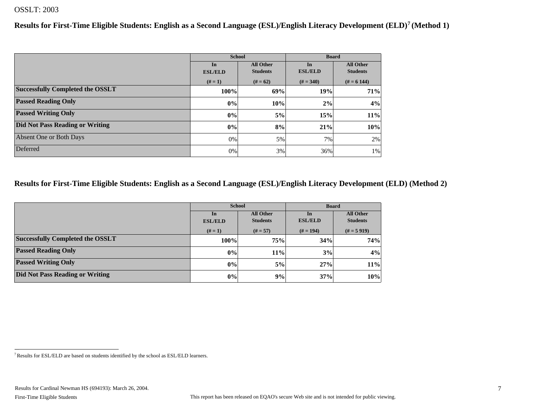**Results for First-Time Eligible Students: English as a Second Language (ESL)/English Literacy Development (ELD)7 (Method 1)**

|                                         |                | <b>School</b>    | <b>Board</b>   |                  |
|-----------------------------------------|----------------|------------------|----------------|------------------|
|                                         | In             | <b>All Other</b> | In             | <b>All Other</b> |
|                                         | <b>ESL/ELD</b> | <b>Students</b>  | <b>ESL/ELD</b> | <b>Students</b>  |
|                                         | $# = 1)$       | $# = 62$         | $(# = 340)$    | $# = 6144$       |
| <b>Successfully Completed the OSSLT</b> | 100%           | 69%              | 19%            | 71%              |
| <b>Passed Reading Only</b>              | $ 0\% $        | 10%              | 2%             | 4%               |
| <b>Passed Writing Only</b>              | $ 0\% $        | 5%               | 15%            | 11%              |
| <b>Did Not Pass Reading or Writing</b>  | $ 0\% $        | 8%               | 21%            | 10%              |
| Absent One or Both Days                 | 0%             | 5%               | 7%1            | 2%               |
| Deferred                                | $0\%$          | 3%               | 36%            | $1\%$            |

#### **Results for First-Time Eligible Students: English as a Second Language (ESL)/English Literacy Development (ELD) (Method 2)**

|                                         |                        | <b>School</b>   | <b>Board</b>   |                  |  |
|-----------------------------------------|------------------------|-----------------|----------------|------------------|--|
|                                         | <b>All Other</b><br>In |                 | In             | <b>All Other</b> |  |
|                                         | <b>ESL/ELD</b>         | <b>Students</b> | <b>ESL/ELD</b> | <b>Students</b>  |  |
|                                         | $# = 1)$               | $(# = 57)$      | $# = 194$      | $(H = 5919)$     |  |
| <b>Successfully Completed the OSSLT</b> | 100%                   | 75%             | 34%            | 74%              |  |
| <b>Passed Reading Only</b>              | 0%                     | 11%             | 3%             | 4%               |  |
| <b>Passed Writing Only</b>              | 0%                     | 5%              | 27%            | 11%              |  |
| Did Not Pass Reading or Writing         | 0%                     | 9%              | 37%            | 10%              |  |

<sup>7</sup> Results for ESL/ELD are based on students identified by the school as ESL/ELD learners.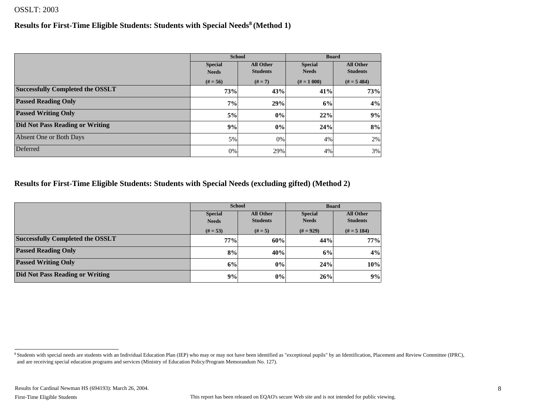#### **Results for First-Time Eligible Students: Students with Special Needs8 (Method 1)**

|                                         |                | <b>School</b>    | <b>Board</b>   |                  |
|-----------------------------------------|----------------|------------------|----------------|------------------|
|                                         | <b>Special</b> | <b>All Other</b> | <b>Special</b> | <b>All Other</b> |
|                                         | <b>Needs</b>   | <b>Students</b>  | <b>Needs</b>   | <b>Students</b>  |
|                                         | $(# = 56)$     | $(# = 7)$        | $# = 1000$     | $(H = 5 484)$    |
| <b>Successfully Completed the OSSLT</b> | 73%            | 43%              | 41%            | 73%              |
| <b>Passed Reading Only</b>              | 7%             | 29%              | 6%             | 4%               |
| <b>Passed Writing Only</b>              | 5%             | $ 0\% $          | 22%            | 9%               |
| Did Not Pass Reading or Writing         | 9%             | $ 0\% $          | 24%            | 8%               |
| Absent One or Both Days                 | 5%             | 0%               | 4%             | 2%               |
| Deferred                                | 0%             | 29%              | 4%             | 3%               |

#### **Results for First-Time Eligible Students: Students with Special Needs (excluding gifted) (Method 2)**

|                                         |                                    | <b>School</b>   | <b>Board</b>   |                  |  |
|-----------------------------------------|------------------------------------|-----------------|----------------|------------------|--|
|                                         | <b>All Other</b><br><b>Special</b> |                 | <b>Special</b> | <b>All Other</b> |  |
|                                         | <b>Needs</b>                       | <b>Students</b> | <b>Needs</b>   | <b>Students</b>  |  |
|                                         | $(# = 53)$                         | $(# = 5)$       | $(# = 929)$    | $(H = 5 184)$    |  |
| <b>Successfully Completed the OSSLT</b> | 77%                                | 60%             | 44%            | 77%              |  |
| <b>Passed Reading Only</b>              | 8%                                 | 40%             | 6%             | 4%               |  |
| <b>Passed Writing Only</b>              | 6%                                 | 0%              | 24%            | 10%              |  |
| Did Not Pass Reading or Writing         | 9%                                 | 0%              | 26%            | 9%               |  |

<sup>8</sup> Students with special needs are students with an Individual Education Plan (IEP) who may or may not have been identified as "exceptional pupils" by an Identification, Placement and Review Committee (IPRC), and are receiving special education programs and services (Ministry of Education Policy/Program Memorandum No. 127).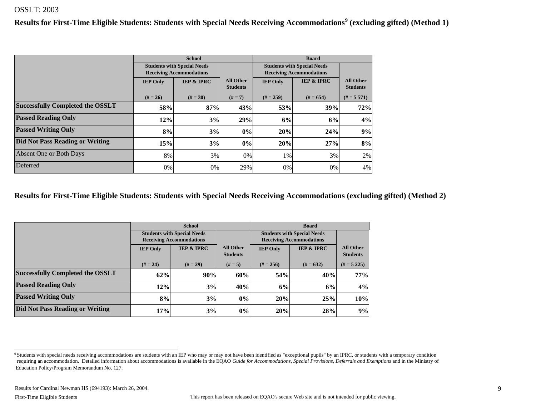**Results for First-Time Eligible Students: Students with Special Needs Receiving Accommodations<sup>9</sup> (excluding gifted) (Method 1)**

|                                         | <b>School</b>                      |                                 |                                     |                                    | <b>Board</b>                    |                                     |
|-----------------------------------------|------------------------------------|---------------------------------|-------------------------------------|------------------------------------|---------------------------------|-------------------------------------|
|                                         | <b>Students with Special Needs</b> |                                 |                                     | <b>Students with Special Needs</b> |                                 |                                     |
|                                         |                                    | <b>Receiving Accommodations</b> |                                     |                                    | <b>Receiving Accommodations</b> |                                     |
|                                         | <b>IEP Only</b>                    | <b>IEP &amp; IPRC</b>           | <b>All Other</b><br><b>Students</b> | <b>IEP Only</b>                    | <b>IEP &amp; IPRC</b>           | <b>All Other</b><br><b>Students</b> |
|                                         | $(# = 26)$                         | $(# = 30)$                      | $(# = 7)$                           | $(# = 259)$                        | $# = 654$                       | $(H = 5 571)$                       |
| <b>Successfully Completed the OSSLT</b> | 58%                                | 87%                             | 43%                                 | 53%                                | 39%                             | 72%                                 |
| <b>Passed Reading Only</b>              | 12%                                | 3%                              | 29%                                 | 6%                                 | 6%                              | 4%                                  |
| <b>Passed Writing Only</b>              | 8%                                 | 3%                              | 0%                                  | 20%                                | 24%                             | 9%                                  |
| Did Not Pass Reading or Writing         | 15%                                | 3%                              | 0%                                  | 20%                                | 27%                             | 8%                                  |
| Absent One or Both Days                 | 8%                                 | 3%                              | 0%                                  | 1%                                 | 3%                              | 2%                                  |
| Deferred                                | 0%                                 | 0%                              | 29%                                 | $0\%$                              | 0%                              | 4%                                  |

#### **Results for First-Time Eligible Students: Students with Special Needs Receiving Accommodations (excluding gifted) (Method 2)**

|                                         |                                                                             | <b>School</b>                      |                                     | <b>Board</b>    |                                                                       |                                     |  |
|-----------------------------------------|-----------------------------------------------------------------------------|------------------------------------|-------------------------------------|-----------------|-----------------------------------------------------------------------|-------------------------------------|--|
|                                         |                                                                             | <b>Students with Special Needs</b> |                                     |                 | <b>Students with Special Needs</b><br><b>Receiving Accommodations</b> |                                     |  |
|                                         | <b>Receiving Accommodations</b><br><b>IEP &amp; IPRC</b><br><b>IEP Only</b> |                                    | <b>All Other</b><br><b>Students</b> | <b>IEP Only</b> | <b>IEP &amp; IPRC</b>                                                 | <b>All Other</b><br><b>Students</b> |  |
|                                         | $# = 24$<br>$(# = 29)$                                                      |                                    | $(# = 5)$                           | $(\# = 256)$    | $# = 632$                                                             | $(H = 5 225)$                       |  |
| <b>Successfully Completed the OSSLT</b> | 62%                                                                         | 90%                                | 60%                                 | 54%             | 40%                                                                   | 77%                                 |  |
| <b>Passed Reading Only</b>              | 12%                                                                         | 3%                                 | 40%                                 | 6%              | 6%                                                                    | 4%                                  |  |
| <b>Passed Writing Only</b>              | 8%                                                                          | 3%                                 | 0%                                  | 20%             | 25%                                                                   | 10%                                 |  |
| Did Not Pass Reading or Writing         | 17%                                                                         | 3%                                 | $0\%$                               | 20%             | 28%                                                                   | 9%                                  |  |

<sup>&</sup>lt;sup>9</sup> Students with special needs receiving accommodations are students with an IEP who may or may not have been identified as "exceptional pupils" by an IPRC, or students with a temporary condition requiring an accommodation. Detailed information about accommodations is available in the EQAO *Guide for Accommodations, Special Provisions, Deferrals and Exemptions* and in the Ministry of Education Policy/Program Memorandum No. 127.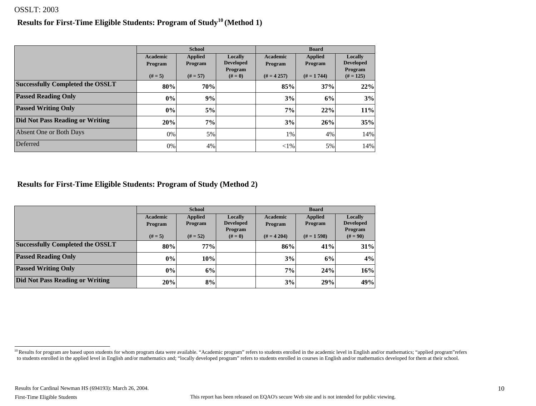#### **Results for First-Time Eligible Students: Program of Study10 (Method 1)**

|                                         |                     | <b>School</b>             |                                        | <b>Board</b>        |                           |                                        |  |
|-----------------------------------------|---------------------|---------------------------|----------------------------------------|---------------------|---------------------------|----------------------------------------|--|
|                                         | Academic<br>Program | <b>Applied</b><br>Program | Locally<br><b>Developed</b><br>Program | Academic<br>Program | <b>Applied</b><br>Program | Locally<br><b>Developed</b><br>Program |  |
|                                         | $(# = 5)$           | $(# = 57)$                | $(# = 0)$                              | $(H = 4257)$        | $(H = 1744)$              | $(# = 125)$                            |  |
| <b>Successfully Completed the OSSLT</b> | 80%                 | 70%                       |                                        | 85%                 | 37%                       | 22%                                    |  |
| <b>Passed Reading Only</b>              | $ 0\% $             | 9%                        |                                        | 3%                  | 6%                        | 3%                                     |  |
| <b>Passed Writing Only</b>              | $ 0\% $             | 5%                        |                                        | 7%                  | 22%                       | 11%                                    |  |
| <b>Did Not Pass Reading or Writing</b>  | 20%                 | 7%                        |                                        | 3%                  | 26%                       | 35%                                    |  |
| Absent One or Both Days                 | $0\%$               | 5%                        |                                        | 1%                  | 4%                        | 14%                                    |  |
| Deferred                                | 0%                  | 4%                        |                                        | ${<}1\%$            | 5%                        | 14%                                    |  |

**Results for First-Time Eligible Students: Program of Study (Method 2)**

|                                         |                 | <b>School</b>  |                      | <b>Board</b>   |                |                       |  |
|-----------------------------------------|-----------------|----------------|----------------------|----------------|----------------|-----------------------|--|
|                                         | <b>Academic</b> | <b>Applied</b> | Locally              | Academic       | <b>Applied</b> | Locally               |  |
|                                         | Program         | Program        | <b>Developed</b>     | <b>Program</b> | <b>Program</b> | <b>Developed</b>      |  |
|                                         | $(# = 5)$       | $(# = 52)$     | Program<br>$(# = 0)$ | $(H = 4204)$   | $(H = 1598)$   | Program<br>$(# = 90)$ |  |
| <b>Successfully Completed the OSSLT</b> | 80%             | 77%            |                      | 86%            | 41%            | 31%                   |  |
| <b>Passed Reading Only</b>              | 0%              | 10%            |                      | 3%             | 6%             | 4%                    |  |
| <b>Passed Writing Only</b>              | 0%              | 6%             |                      | 7%             | 24%            | 16%                   |  |
| Did Not Pass Reading or Writing         | 20%             | 8%             |                      | 3%             | 29%            | 49%                   |  |

<sup>&</sup>lt;sup>10</sup> Results for program are based upon students for whom program data were available. "Academic program" refers to students enrolled in the academic level in English and/or mathematics; "applied program" refers to students enrolled in the applied level in English and/or mathematics and; "locally developed program" refers to students enrolled in courses in English and/or mathematics developed for them at their school.